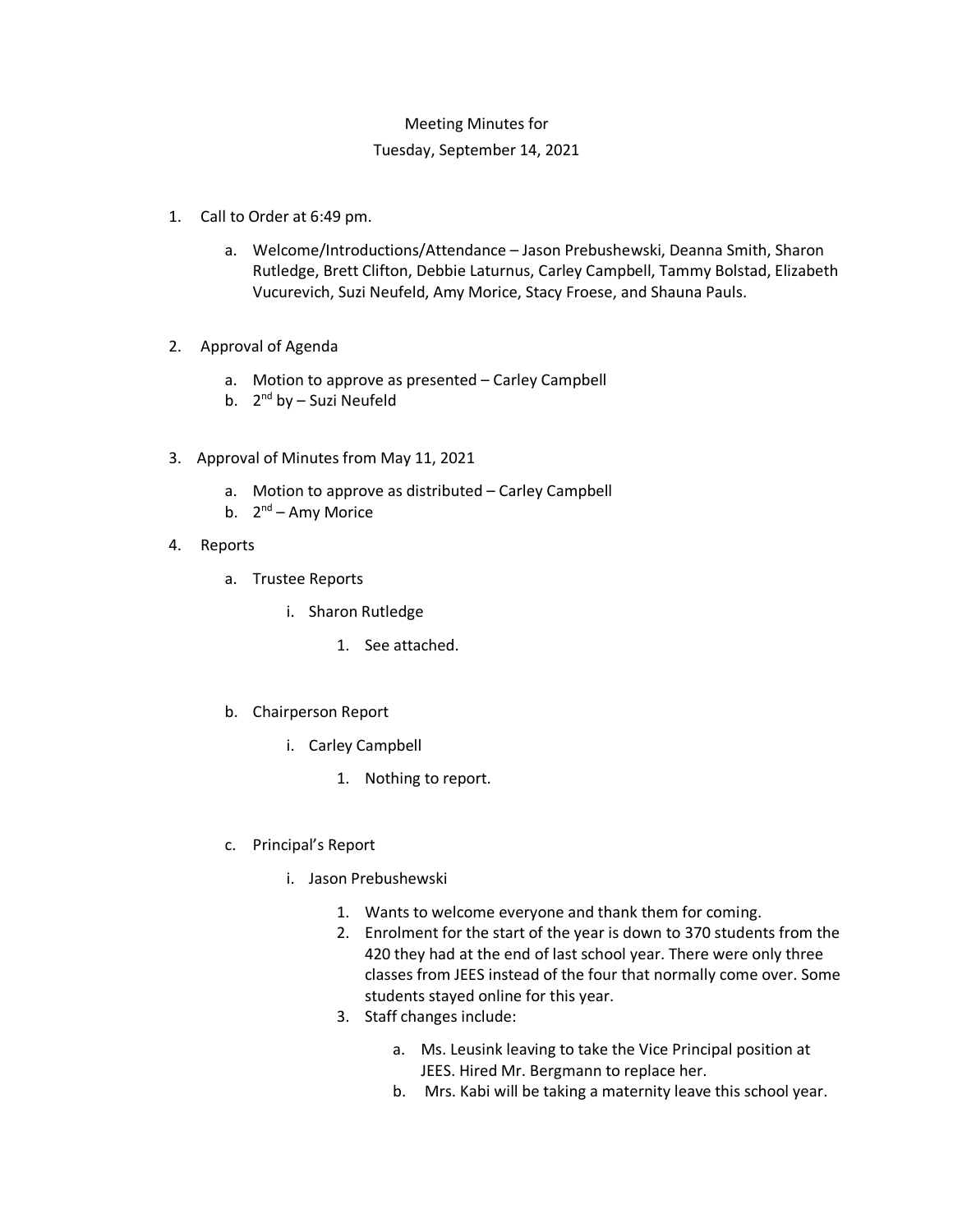## Meeting Minutes for

## Tuesday, September 14, 2021

- 1. Call to Order at 6:49 pm.
	- a. Welcome/Introductions/Attendance Jason Prebushewski, Deanna Smith, Sharon Rutledge, Brett Clifton, Debbie Laturnus, Carley Campbell, Tammy Bolstad, Elizabeth Vucurevich, Suzi Neufeld, Amy Morice, Stacy Froese, and Shauna Pauls.
- 2. Approval of Agenda
	- a. Motion to approve as presented Carley Campbell
	- b.  $2^{nd}$  by Suzi Neufeld
- 3. Approval of Minutes from May 11, 2021
	- a. Motion to approve as distributed Carley Campbell
	- b.  $2^{nd}$  Amy Morice
- 4. Reports
	- a. Trustee Reports
		- i. Sharon Rutledge
			- 1. See attached.
	- b. Chairperson Report
		- i. Carley Campbell
			- 1. Nothing to report.
	- c. Principal's Report
		- i. Jason Prebushewski
			- 1. Wants to welcome everyone and thank them for coming.
			- 2. Enrolment for the start of the year is down to 370 students from the 420 they had at the end of last school year. There were only three classes from JEES instead of the four that normally come over. Some students stayed online for this year.
			- 3. Staff changes include:
				- a. Ms. Leusink leaving to take the Vice Principal position at JEES. Hired Mr. Bergmann to replace her.
				- b. Mrs. Kabi will be taking a maternity leave this school year.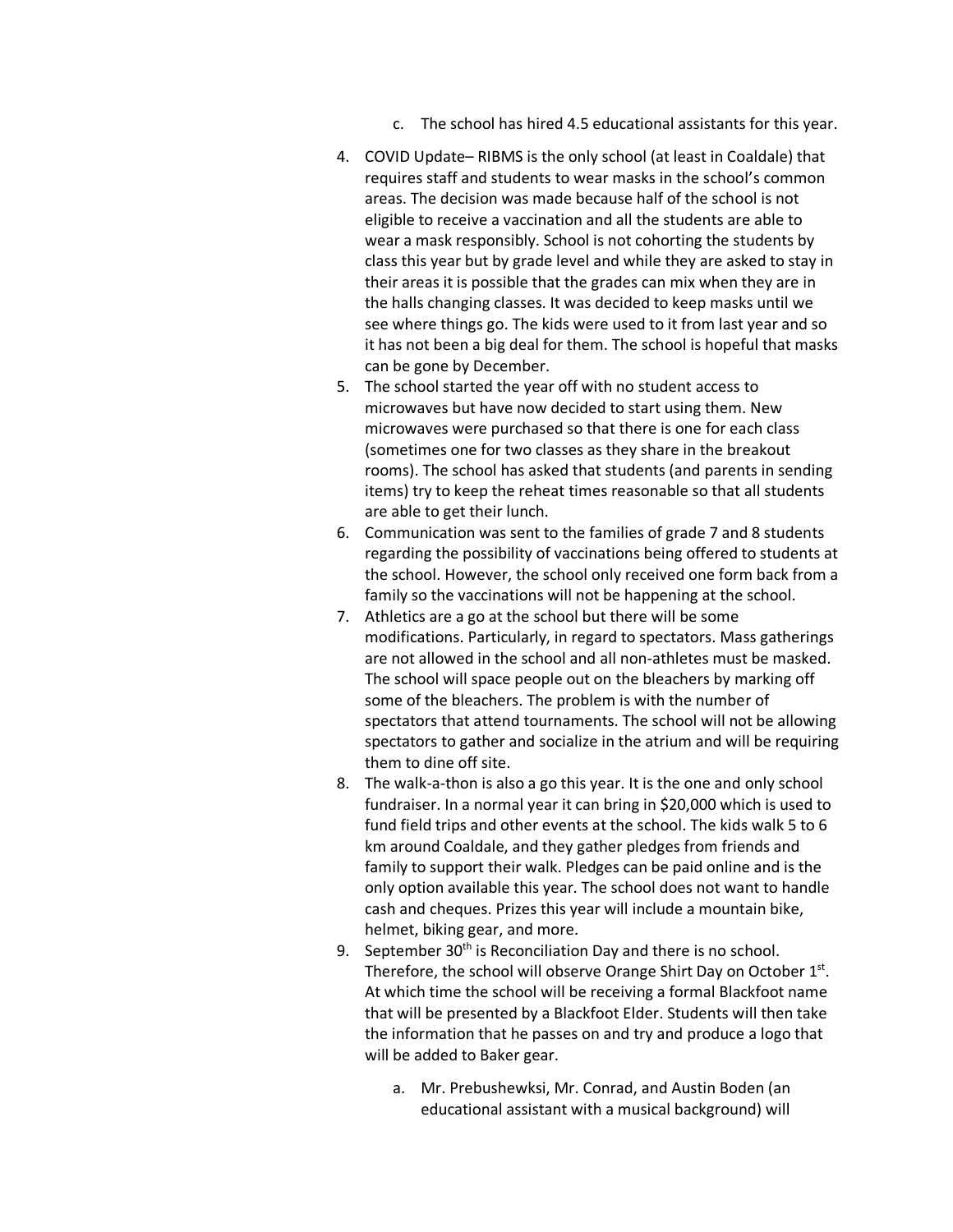- c. The school has hired 4.5 educational assistants for this year.
- 4. COVID Update– RIBMS is the only school (at least in Coaldale) that requires staff and students to wear masks in the school's common areas. The decision was made because half of the school is not eligible to receive a vaccination and all the students are able to wear a mask responsibly. School is not cohorting the students by class this year but by grade level and while they are asked to stay in their areas it is possible that the grades can mix when they are in the halls changing classes. It was decided to keep masks until we see where things go. The kids were used to it from last year and so it has not been a big deal for them. The school is hopeful that masks can be gone by December.
- 5. The school started the year off with no student access to microwaves but have now decided to start using them. New microwaves were purchased so that there is one for each class (sometimes one for two classes as they share in the breakout rooms). The school has asked that students (and parents in sending items) try to keep the reheat times reasonable so that all students are able to get their lunch.
- 6. Communication was sent to the families of grade 7 and 8 students regarding the possibility of vaccinations being offered to students at the school. However, the school only received one form back from a family so the vaccinations will not be happening at the school.
- 7. Athletics are a go at the school but there will be some modifications. Particularly, in regard to spectators. Mass gatherings are not allowed in the school and all non-athletes must be masked. The school will space people out on the bleachers by marking off some of the bleachers. The problem is with the number of spectators that attend tournaments. The school will not be allowing spectators to gather and socialize in the atrium and will be requiring them to dine off site.
- 8. The walk-a-thon is also a go this year. It is the one and only school fundraiser. In a normal year it can bring in \$20,000 which is used to fund field trips and other events at the school. The kids walk 5 to 6 km around Coaldale, and they gather pledges from friends and family to support their walk. Pledges can be paid online and is the only option available this year. The school does not want to handle cash and cheques. Prizes this year will include a mountain bike, helmet, biking gear, and more.
- 9. September  $30<sup>th</sup>$  is Reconciliation Day and there is no school. Therefore, the school will observe Orange Shirt Day on October 1st. At which time the school will be receiving a formal Blackfoot name that will be presented by a Blackfoot Elder. Students will then take the information that he passes on and try and produce a logo that will be added to Baker gear.
	- a. Mr. Prebushewksi, Mr. Conrad, and Austin Boden (an educational assistant with a musical background) will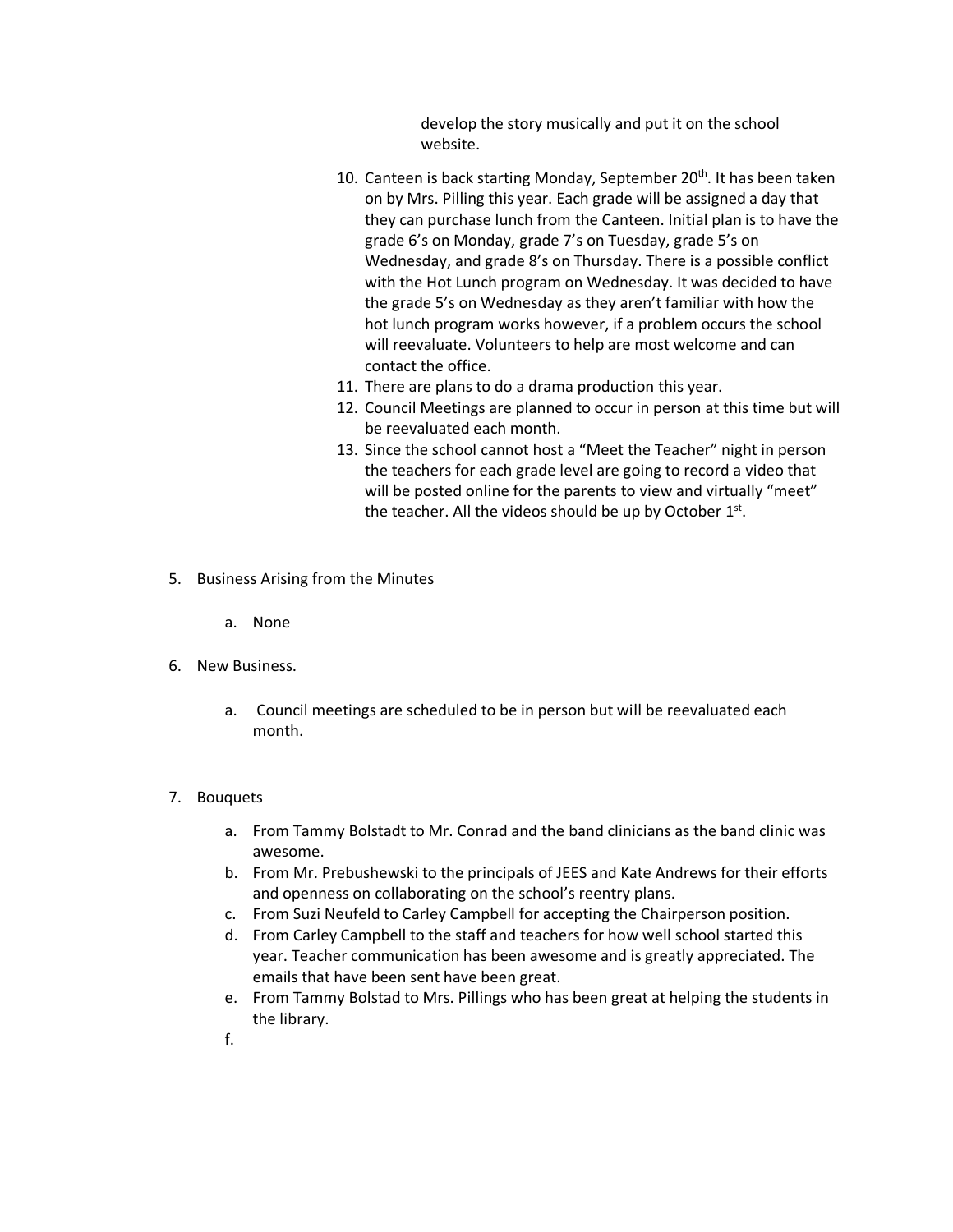develop the story musically and put it on the school website.

- 10. Canteen is back starting Monday, September 20<sup>th</sup>. It has been taken on by Mrs. Pilling this year. Each grade will be assigned a day that they can purchase lunch from the Canteen. Initial plan is to have the grade 6's on Monday, grade 7's on Tuesday, grade 5's on Wednesday, and grade 8's on Thursday. There is a possible conflict with the Hot Lunch program on Wednesday. It was decided to have the grade 5's on Wednesday as they aren't familiar with how the hot lunch program works however, if a problem occurs the school will reevaluate. Volunteers to help are most welcome and can contact the office.
- 11. There are plans to do a drama production this year.
- 12. Council Meetings are planned to occur in person at this time but will be reevaluated each month.
- 13. Since the school cannot host a "Meet the Teacher" night in person the teachers for each grade level are going to record a video that will be posted online for the parents to view and virtually "meet" the teacher. All the videos should be up by October  $1<sup>st</sup>$ .
- 5. Business Arising from the Minutes
	- a. None
- 6. New Business.
	- a. Council meetings are scheduled to be in person but will be reevaluated each month.

## 7. Bouquets

- a. From Tammy Bolstadt to Mr. Conrad and the band clinicians as the band clinic was awesome.
- b. From Mr. Prebushewski to the principals of JEES and Kate Andrews for their efforts and openness on collaborating on the school's reentry plans.
- c. From Suzi Neufeld to Carley Campbell for accepting the Chairperson position.
- d. From Carley Campbell to the staff and teachers for how well school started this year. Teacher communication has been awesome and is greatly appreciated. The emails that have been sent have been great.
- e. From Tammy Bolstad to Mrs. Pillings who has been great at helping the students in the library.
- f.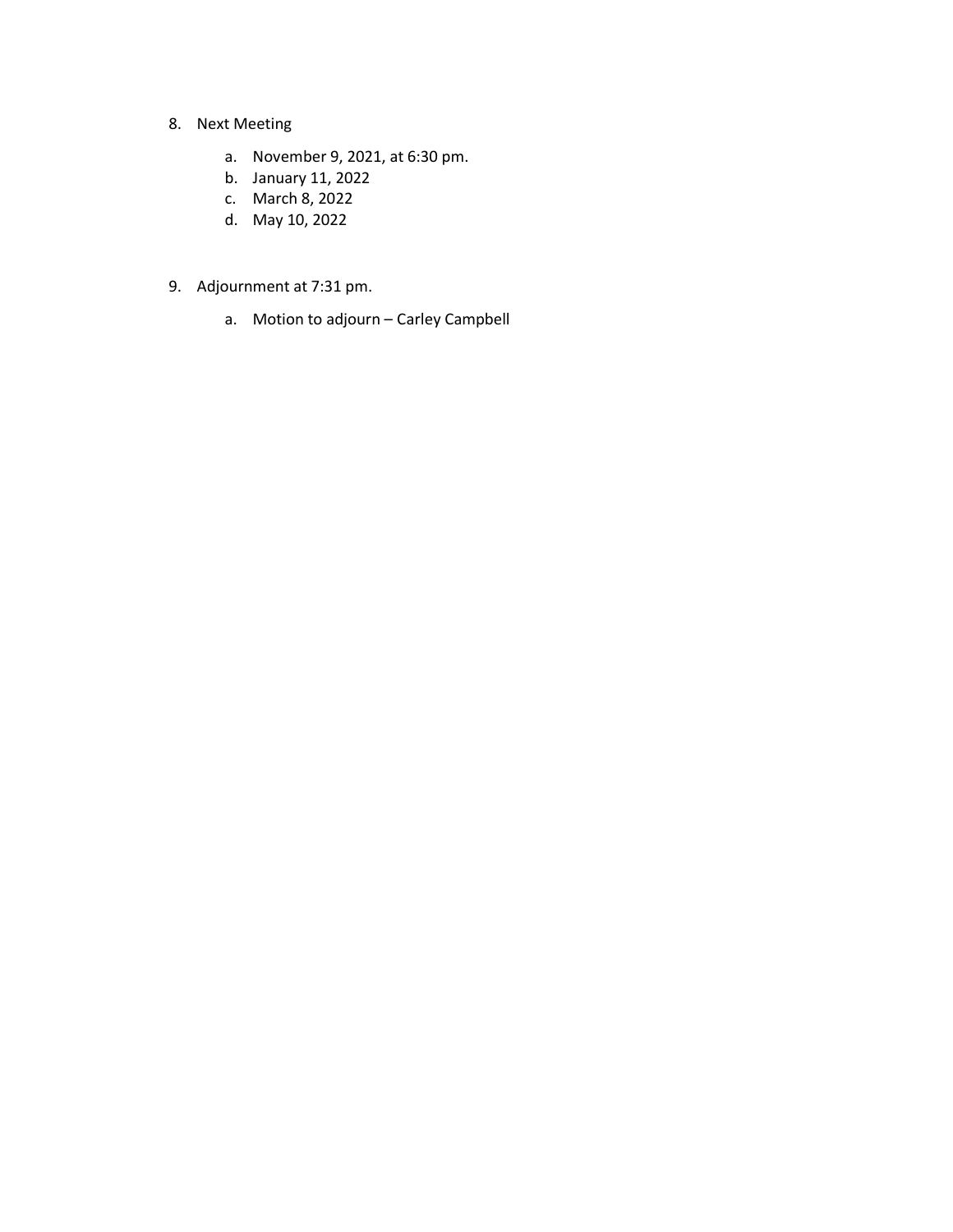- 8. Next Meeting
	- a. November 9, 2021, at 6:30 pm.
	- b. January 11, 2022
	- c. March 8, 2022
	- d. May 10, 2022
- 9. Adjournment at 7:31 pm.
	- a. Motion to adjourn Carley Campbell